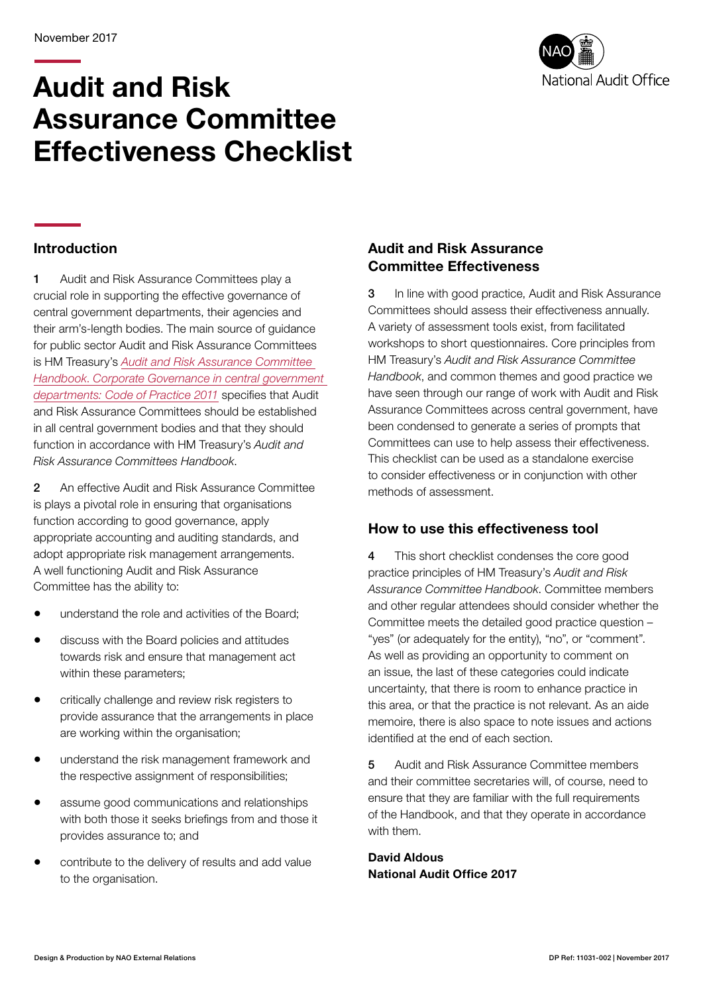# Audit and Risk Assurance Committee Effectiveness Checklist



#### Introduction

1 Audit and Risk Assurance Committees play a crucial role in supporting the effective governance of central government departments, their agencies and their arm's-length bodies. The main source of guidance for public sector Audit and Risk Assurance Committees is HM Treasury's *[Audit and Risk Assurance Committee](http://www.hm-treasury.gov.uk/audit_committee_handbook.htm)  [Handbook](http://www.hm-treasury.gov.uk/audit_committee_handbook.htm)*. *[Corporate Governance in central government](http://www.hm-treasury.gov.uk/d/corporate_governance_good_practice_july2011.pdf)  [departments: Code of Practice 2011](http://www.hm-treasury.gov.uk/d/corporate_governance_good_practice_july2011.pdf)* specifies that Audit and Risk Assurance Committees should be established in all central government bodies and that they should function in accordance with HM Treasury's *Audit and Risk Assurance Committees Handbook*.

2 An effective Audit and Risk Assurance Committee is plays a pivotal role in ensuring that organisations function according to good governance, apply appropriate accounting and auditing standards, and adopt appropriate risk management arrangements. A well functioning Audit and Risk Assurance Committee has the ability to:

- understand the role and activities of the Board;
- discuss with the Board policies and attitudes towards risk and ensure that management act within these parameters;
- critically challenge and review risk registers to provide assurance that the arrangements in place are working within the organisation;
- understand the risk management framework and the respective assignment of responsibilities;
- assume good communications and relationships with both those it seeks briefings from and those it provides assurance to; and
- contribute to the delivery of results and add value to the organisation.

#### Audit and Risk Assurance Committee Effectiveness

3 In line with good practice, Audit and Risk Assurance Committees should assess their effectiveness annually. A variety of assessment tools exist, from facilitated workshops to short questionnaires. Core principles from HM Treasury's *Audit and Risk Assurance Committee Handbook*, and common themes and good practice we have seen through our range of work with Audit and Risk Assurance Committees across central government, have been condensed to generate a series of prompts that Committees can use to help assess their effectiveness. This checklist can be used as a standalone exercise to consider effectiveness or in conjunction with other methods of assessment.

#### How to use this effectiveness tool

4 This short checklist condenses the core good practice principles of HM Treasury's *Audit and Risk Assurance Committee Handbook*. Committee members and other regular attendees should consider whether the Committee meets the detailed good practice question – "yes" (or adequately for the entity), "no", or "comment". As well as providing an opportunity to comment on an issue, the last of these categories could indicate uncertainty, that there is room to enhance practice in this area, or that the practice is not relevant. As an aide memoire, there is also space to note issues and actions identified at the end of each section.

5 Audit and Risk Assurance Committee members and their committee secretaries will, of course, need to ensure that they are familiar with the full requirements of the Handbook, and that they operate in accordance with them.

David Aldous National Audit Office 2017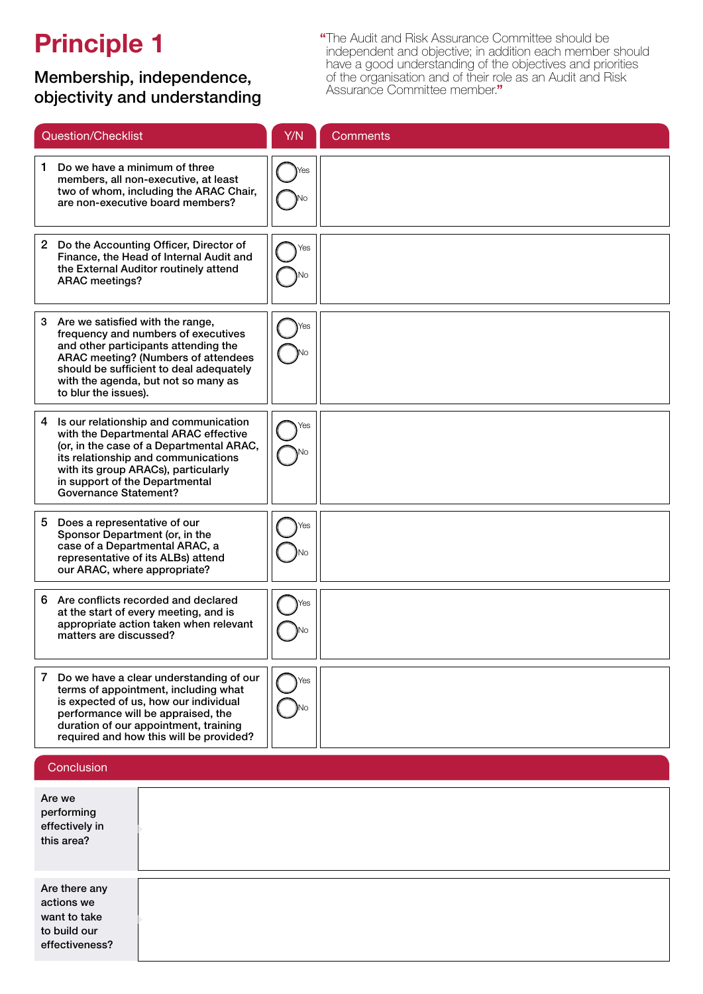## Principle 1

### Membership, independence, objectivity and understanding

"The Audit and Risk Assurance Committee should be independent and objective; in addition each member should have a good understanding of the objectives and priorities of the organisation and of their role as an Audit and Risk Assurance Committee member."

| Question/Checklist                                                                                                                                                                                                                                                             | Y/N | <b>Comments</b>                                                                                                                                                                                                                                    |
|--------------------------------------------------------------------------------------------------------------------------------------------------------------------------------------------------------------------------------------------------------------------------------|-----|----------------------------------------------------------------------------------------------------------------------------------------------------------------------------------------------------------------------------------------------------|
| Do we have a minimum of three<br>1.<br>members, all non-executive, at least<br>two of whom, including the ARAC Chair,<br>are non-executive board members?                                                                                                                      | Yes | The committee has operated for most of the year with two non-executive<br>board directors, but is also attended by the s151 officer. A recruitment<br>process is underway and expected to restore three members.                                   |
| 2 Do the Accounting Officer, Director of<br>Finance, the Head of Internal Audit and<br>the External Auditor routinely attend<br><b>ARAC</b> meetings?                                                                                                                          | Yes | The Accounting Officer, LEP CEO, attends occasionally.                                                                                                                                                                                             |
| Are we satisfied with the range,<br>3<br>frequency and numbers of executives<br>and other participants attending the<br>ARAC meeting? (Numbers of attendees<br>should be sufficient to deal adequately<br>with the agenda, but not so many as<br>to blur the issues).          |     |                                                                                                                                                                                                                                                    |
| Is our relationship and communication<br>4<br>with the Departmental ARAC effective<br>(or, in the case of a Departmental ARAC,<br>its relationship and communications<br>with its group ARACs), particularly<br>in support of the Departmental<br><b>Governance Statement?</b> |     | The LEP does not report directly into any other ARAC, be that the Local<br>Authority or sponsoring department, However, assurances are provided<br>via the s151 officer to the local authority and in assurance certificates<br>provided to MHCLG. |
| 5<br>Does a representative of our<br>Sponsor Department (or, in the<br>case of a Departmental ARAC, a<br>representative of its ALBs) attend<br>our ARAC, where appropriate?                                                                                                    | Yes | The s151 officer effectively plays this role.                                                                                                                                                                                                      |
| Are conflicts recorded and declared<br>6<br>at the start of every meeting, and is<br>appropriate action taken when relevant<br>matters are discussed?                                                                                                                          |     |                                                                                                                                                                                                                                                    |
| 7<br>Do we have a clear understanding of our<br>terms of appointment, including what<br>is expected of us, how our individual<br>performance will be appraised, the<br>duration of our appointment, training<br>required and how this will be provided?                        | Yes |                                                                                                                                                                                                                                                    |

#### **Conclusion**

| Are we<br>performing<br>effectively in<br>this area?                          | Yes                                                                    |
|-------------------------------------------------------------------------------|------------------------------------------------------------------------|
| Are there any<br>actions we<br>want to take<br>to build our<br>effectiveness? | We will seek to appoint a third non-executive member to the committee. |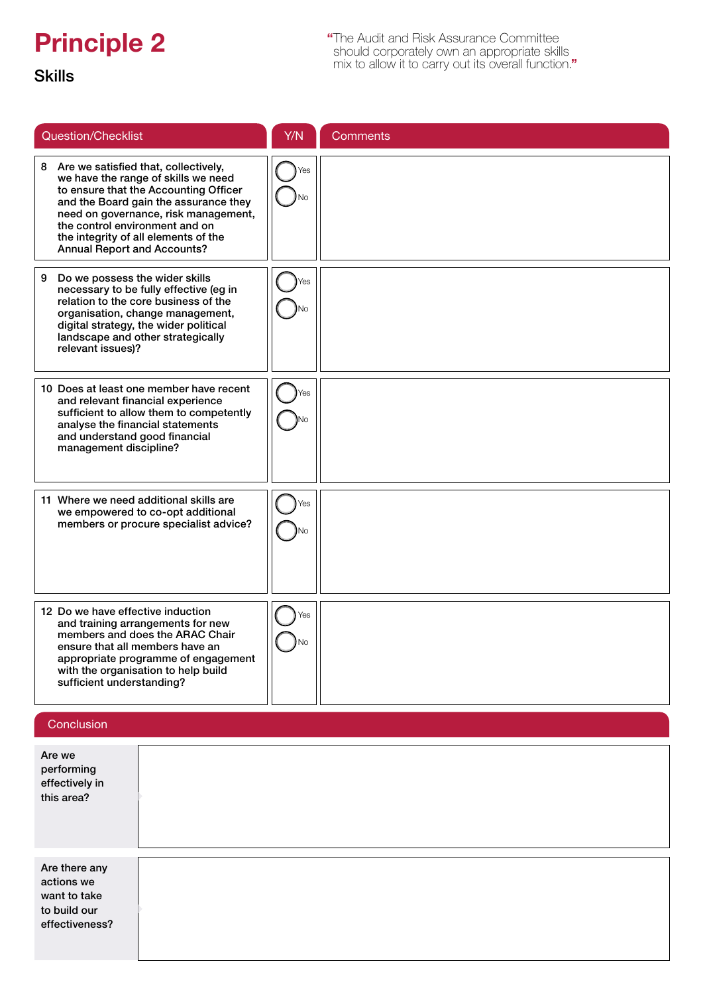## Principle 2

"The Audit and Risk Assurance Committee should corporately own an appropriate skills mix to allow it to carry out its overall function."

### Skills

| <b>Question/Checklist</b>                                                                                                                                                                                                                                                                                               | Y/N       | <b>Comments</b>                                                                                                                           |
|-------------------------------------------------------------------------------------------------------------------------------------------------------------------------------------------------------------------------------------------------------------------------------------------------------------------------|-----------|-------------------------------------------------------------------------------------------------------------------------------------------|
| 8 Are we satisfied that, collectively,<br>we have the range of skills we need<br>to ensure that the Accounting Officer<br>and the Board gain the assurance they<br>need on governance, risk management,<br>the control environment and on<br>the integrity of all elements of the<br><b>Annual Report and Accounts?</b> | Yes       | The combination of non-executive board members, s151 officer, internal<br>and external auditor provides a range of skills and experience. |
| Do we possess the wider skills<br>9<br>necessary to be fully effective (eg in<br>relation to the core business of the<br>organisation, change management,<br>digital strategy, the wider political<br>landscape and other strategically<br>relevant issues)?                                                            | Yes       |                                                                                                                                           |
| 10 Does at least one member have recent<br>and relevant financial experience<br>sufficient to allow them to competently<br>analyse the financial statements<br>and understand good financial<br>management discipline?                                                                                                  | Yes       |                                                                                                                                           |
| 11 Where we need additional skills are<br>we empowered to co-opt additional<br>members or procure specialist advice?                                                                                                                                                                                                    | Yes       |                                                                                                                                           |
| 12 Do we have effective induction<br>and training arrangements for new<br>members and does the ARAC Chair<br>ensure that all members have an<br>appropriate programme of engagement<br>with the organisation to help build<br>sufficient understanding?                                                                 | Yes<br>NΟ |                                                                                                                                           |

### **Conclusion**

| Are we<br>performing<br>effectively in<br>this area?                          |  |
|-------------------------------------------------------------------------------|--|
| Are there any<br>actions we<br>want to take<br>to build our<br>effectiveness? |  |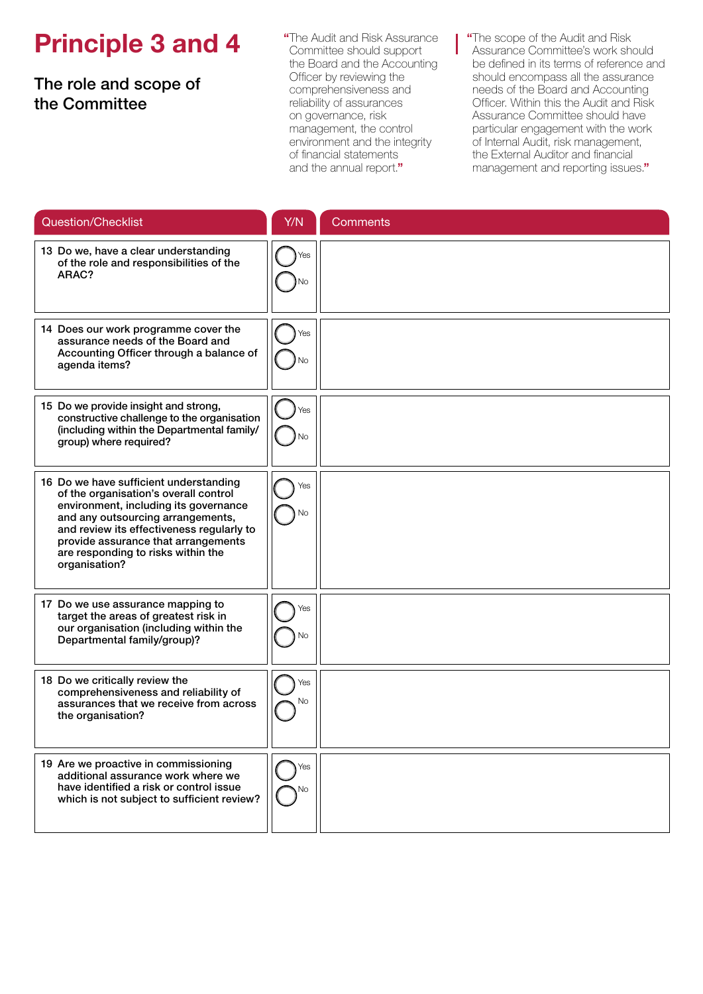## Principle 3 and 4

The role and scope of the Committee

"The Audit and Risk Assurance Committee should support the Board and the Accounting Officer by reviewing the comprehensiveness and reliability of assurances on governance, risk management, the control environment and the integrity of financial statements and the annual report."

"The scope of the Audit and Risk Assurance Committee's work should be defined in its terms of reference and should encompass all the assurance needs of the Board and Accounting Officer. Within this the Audit and Risk Assurance Committee should have particular engagement with the work of Internal Audit, risk management, the External Auditor and financial management and reporting issues."

| Question/Checklist                                                                                                                                                                                                                                                                                       | Y/N        | <b>Comments</b> |
|----------------------------------------------------------------------------------------------------------------------------------------------------------------------------------------------------------------------------------------------------------------------------------------------------------|------------|-----------------|
| 13 Do we, have a clear understanding<br>of the role and responsibilities of the<br>ARAC?                                                                                                                                                                                                                 | Yes        |                 |
| 14 Does our work programme cover the<br>assurance needs of the Board and<br>Accounting Officer through a balance of<br>agenda items?                                                                                                                                                                     | Yes        |                 |
| 15 Do we provide insight and strong,<br>constructive challenge to the organisation<br>(including within the Departmental family/<br>group) where required?                                                                                                                                               | Yes<br>Nο  |                 |
| 16 Do we have sufficient understanding<br>of the organisation's overall control<br>environment, including its governance<br>and any outsourcing arrangements,<br>and review its effectiveness regularly to<br>provide assurance that arrangements<br>are responding to risks within the<br>organisation? | Yes        |                 |
| 17 Do we use assurance mapping to<br>target the areas of greatest risk in<br>our organisation (including within the<br>Departmental family/group)?                                                                                                                                                       | Yes<br>No  |                 |
| 18 Do we critically review the<br>comprehensiveness and reliability of<br>assurances that we receive from across<br>the organisation?                                                                                                                                                                    | Yes<br>No. |                 |
| 19 Are we proactive in commissioning<br>additional assurance work where we<br>have identified a risk or control issue<br>which is not subject to sufficient review?                                                                                                                                      | Yes<br>Νo  |                 |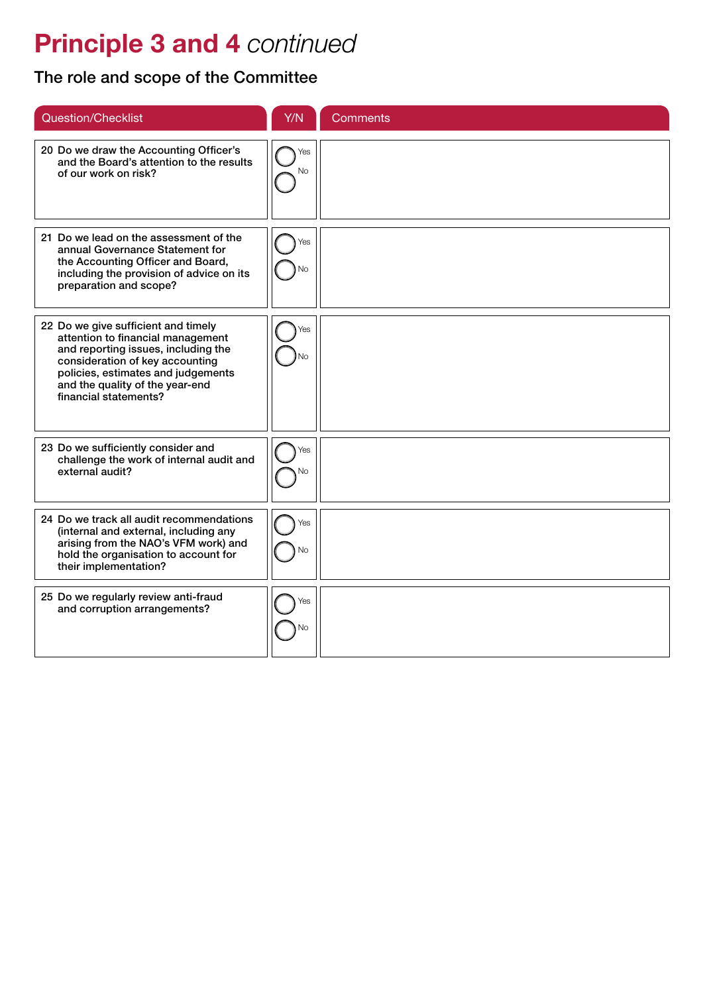## Principle 3 and 4 *continued*

The role and scope of the Committee

| <b>Question/Checklist</b>                                                                                                                                                                                                                            | Y/N              | <b>Comments</b> |
|------------------------------------------------------------------------------------------------------------------------------------------------------------------------------------------------------------------------------------------------------|------------------|-----------------|
| 20 Do we draw the Accounting Officer's<br>and the Board's attention to the results<br>of our work on risk?                                                                                                                                           | Yes<br><b>No</b> |                 |
| 21 Do we lead on the assessment of the<br>annual Governance Statement for<br>the Accounting Officer and Board,<br>including the provision of advice on its<br>preparation and scope?                                                                 | Yes<br>Nо        |                 |
| 22 Do we give sufficient and timely<br>attention to financial management<br>and reporting issues, including the<br>consideration of key accounting<br>policies, estimates and judgements<br>and the quality of the year-end<br>financial statements? | Yes              |                 |
| 23 Do we sufficiently consider and<br>challenge the work of internal audit and<br>external audit?                                                                                                                                                    | Yes<br>Nο        |                 |
| 24 Do we track all audit recommendations<br>(internal and external, including any<br>arising from the NAO's VFM work) and<br>hold the organisation to account for<br>their implementation?                                                           | Yes<br>No        |                 |
| 25 Do we regularly review anti-fraud<br>and corruption arrangements?                                                                                                                                                                                 | Yes<br>N٥        |                 |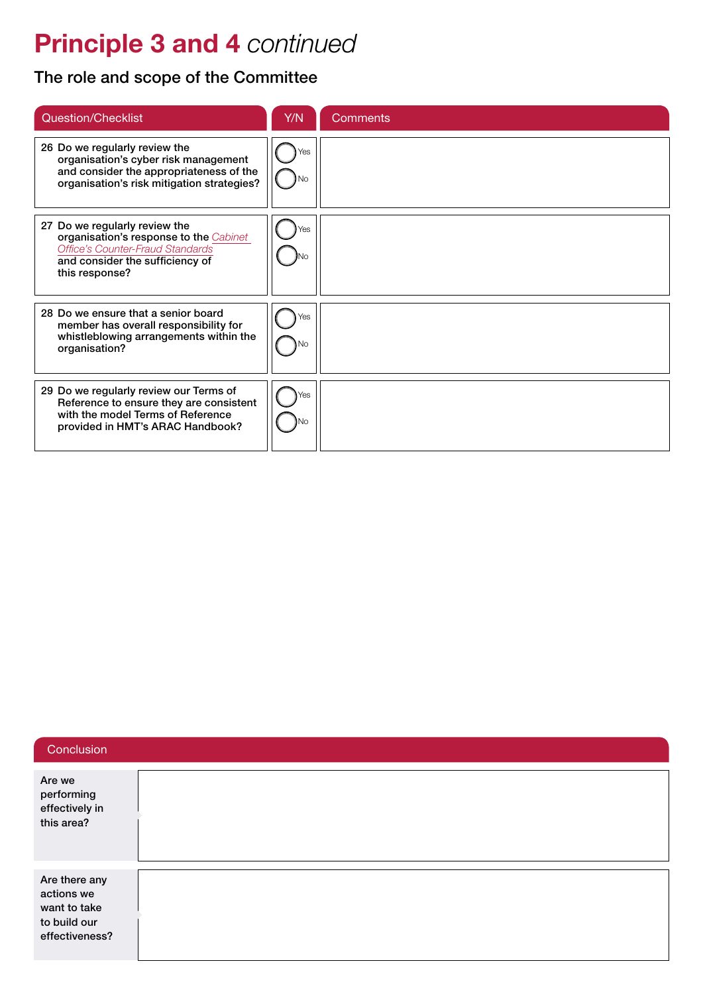## Principle 3 and 4 *continued*

### The role and scope of the Committee

| <b>Question/Checklist</b>                                                                                                                                        | Y/N | <b>Comments</b> |
|------------------------------------------------------------------------------------------------------------------------------------------------------------------|-----|-----------------|
| 26 Do we regularly review the<br>organisation's cyber risk management<br>and consider the appropriateness of the<br>organisation's risk mitigation strategies?   | Yes |                 |
| 27 Do we regularly review the<br>organisation's response to the Cabinet<br>Office's Counter-Fraud Standards<br>and consider the sufficiency of<br>this response? | ΈS. |                 |
| 28 Do we ensure that a senior board<br>member has overall responsibility for<br>whistleblowing arrangements within the<br>organisation?                          | ⁄es |                 |
| 29 Do we regularly review our Terms of<br>Reference to ensure they are consistent<br>with the model Terms of Reference<br>provided in HMT's ARAC Handbook?       | Yes |                 |

#### **Conclusion**

| Are we<br>performing<br>effectively in<br>this area?                          |  |
|-------------------------------------------------------------------------------|--|
| Are there any<br>actions we<br>want to take<br>to build our<br>effectiveness? |  |